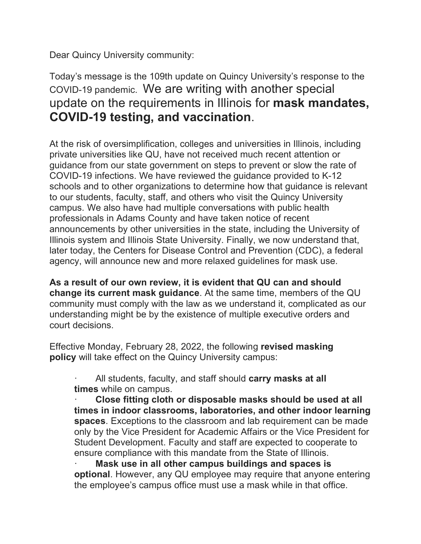Dear Quincy University community:

## Today's message is the 109th update on Quincy University's response to the COVID-19 pandemic. We are writing with another special update on the requirements in Illinois for **mask mandates, COVID-19 testing, and vaccination**.

At the risk of oversimplification, colleges and universities in Illinois, including private universities like QU, have not received much recent attention or guidance from our state government on steps to prevent or slow the rate of COVID-19 infections. We have reviewed the guidance provided to K-12 schools and to other organizations to determine how that guidance is relevant to our students, faculty, staff, and others who visit the Quincy University campus. We also have had multiple conversations with public health professionals in Adams County and have taken notice of recent announcements by other universities in the state, including the University of Illinois system and Illinois State University. Finally, we now understand that, later today, the Centers for Disease Control and Prevention (CDC), a federal agency, will announce new and more relaxed guidelines for mask use.

**As a result of our own review, it is evident that QU can and should change its current mask guidance**. At the same time, members of the QU community must comply with the law as we understand it, complicated as our understanding might be by the existence of multiple executive orders and court decisions.

Effective Monday, February 28, 2022, the following **revised masking policy** will take effect on the Quincy University campus:

All students, faculty, and staff should **carry masks at all times** while on campus.

· **Close fitting cloth or disposable masks should be used at all times in indoor classrooms, laboratories, and other indoor learning spaces**. Exceptions to the classroom and lab requirement can be made only by the Vice President for Academic Affairs or the Vice President for Student Development. Faculty and staff are expected to cooperate to ensure compliance with this mandate from the State of Illinois.

**Mask use in all other campus buildings and spaces is optional**. However, any QU employee may require that anyone entering the employee's campus office must use a mask while in that office.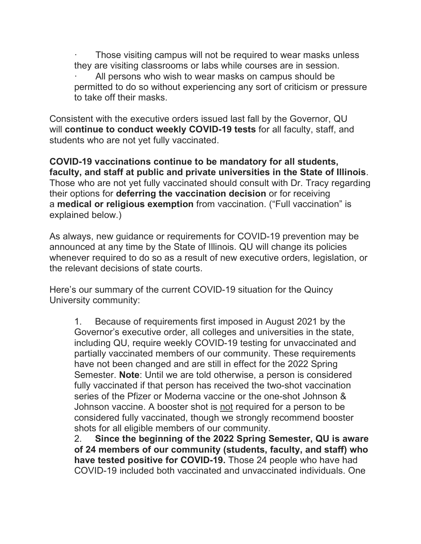Those visiting campus will not be required to wear masks unless they are visiting classrooms or labs while courses are in session. All persons who wish to wear masks on campus should be permitted to do so without experiencing any sort of criticism or pressure to take off their masks.

Consistent with the executive orders issued last fall by the Governor, QU will **continue to conduct weekly COVID-19 tests** for all faculty, staff, and students who are not yet fully vaccinated.

**COVID-19 vaccinations continue to be mandatory for all students, faculty, and staff at public and private universities in the State of Illinois**. Those who are not yet fully vaccinated should consult with Dr. Tracy regarding their options for **deferring the vaccination decision** or for receiving a **medical or religious exemption** from vaccination. ("Full vaccination" is explained below.)

As always, new guidance or requirements for COVID-19 prevention may be announced at any time by the State of Illinois. QU will change its policies whenever required to do so as a result of new executive orders, legislation, or the relevant decisions of state courts.

Here's our summary of the current COVID-19 situation for the Quincy University community:

1. Because of requirements first imposed in August 2021 by the Governor's executive order, all colleges and universities in the state, including QU, require weekly COVID-19 testing for unvaccinated and partially vaccinated members of our community. These requirements have not been changed and are still in effect for the 2022 Spring Semester. **Note**: Until we are told otherwise, a person is considered fully vaccinated if that person has received the two-shot vaccination series of the Pfizer or Moderna vaccine or the one-shot Johnson & Johnson vaccine. A booster shot is not required for a person to be considered fully vaccinated, though we strongly recommend booster shots for all eligible members of our community.

2. **Since the beginning of the 2022 Spring Semester, QU is aware of 24 members of our community (students, faculty, and staff) who have tested positive for COVID-19.** Those 24 people who have had COVID-19 included both vaccinated and unvaccinated individuals. One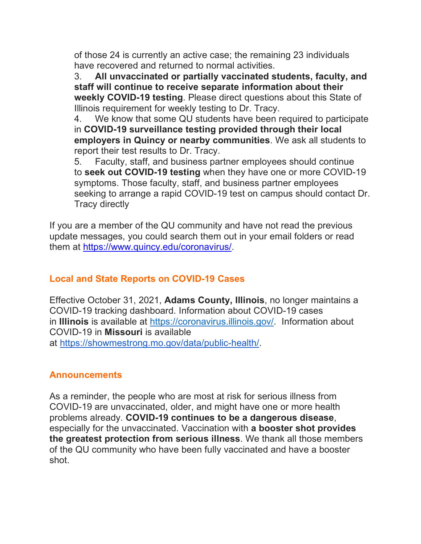of those 24 is currently an active case; the remaining 23 individuals have recovered and returned to normal activities.

3. **All unvaccinated or partially vaccinated students, faculty, and staff will continue to receive separate information about their weekly COVID-19 testing**. Please direct questions about this State of Illinois requirement for weekly testing to Dr. Tracy.

4. We know that some QU students have been required to participate in **COVID-19 surveillance testing provided through their local employers in Quincy or nearby communities**. We ask all students to report their test results to Dr. Tracy.

5. Faculty, staff, and business partner employees should continue to **seek out COVID-19 testing** when they have one or more COVID-19 symptoms. Those faculty, staff, and business partner employees seeking to arrange a rapid COVID-19 test on campus should contact Dr. Tracy directly

If you are a member of the QU community and have not read the previous update messages, you could search them out in your email folders or read them at https://www.quincy.edu/coronavirus/.

## **Local and State Reports on COVID-19 Cases**

Effective October 31, 2021, **Adams County, Illinois**, no longer maintains a COVID-19 tracking dashboard. Information about COVID-19 cases in **Illinois** is available at https://coronavirus.illinois.gov/. Information about COVID-19 in **Missouri** is available at https://showmestrong.mo.gov/data/public-health/.

## **Announcements**

As a reminder, the people who are most at risk for serious illness from COVID-19 are unvaccinated, older, and might have one or more health problems already. **COVID-19 continues to be a dangerous disease**, especially for the unvaccinated. Vaccination with **a booster shot provides the greatest protection from serious illness**. We thank all those members of the QU community who have been fully vaccinated and have a booster shot.